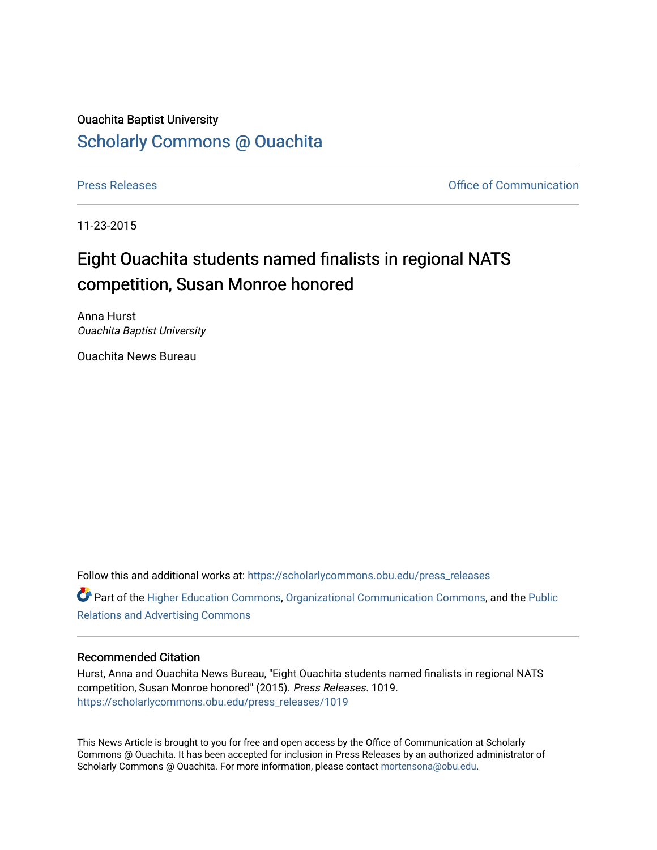## Ouachita Baptist University [Scholarly Commons @ Ouachita](https://scholarlycommons.obu.edu/)

[Press Releases](https://scholarlycommons.obu.edu/press_releases) **Press Releases Communication** 

11-23-2015

## Eight Ouachita students named finalists in regional NATS competition, Susan Monroe honored

Anna Hurst Ouachita Baptist University

Ouachita News Bureau

Follow this and additional works at: [https://scholarlycommons.obu.edu/press\\_releases](https://scholarlycommons.obu.edu/press_releases?utm_source=scholarlycommons.obu.edu%2Fpress_releases%2F1019&utm_medium=PDF&utm_campaign=PDFCoverPages) Part of the [Higher Education Commons,](http://network.bepress.com/hgg/discipline/1245?utm_source=scholarlycommons.obu.edu%2Fpress_releases%2F1019&utm_medium=PDF&utm_campaign=PDFCoverPages) [Organizational Communication Commons,](http://network.bepress.com/hgg/discipline/335?utm_source=scholarlycommons.obu.edu%2Fpress_releases%2F1019&utm_medium=PDF&utm_campaign=PDFCoverPages) and the [Public](http://network.bepress.com/hgg/discipline/336?utm_source=scholarlycommons.obu.edu%2Fpress_releases%2F1019&utm_medium=PDF&utm_campaign=PDFCoverPages) [Relations and Advertising Commons](http://network.bepress.com/hgg/discipline/336?utm_source=scholarlycommons.obu.edu%2Fpress_releases%2F1019&utm_medium=PDF&utm_campaign=PDFCoverPages) 

## Recommended Citation

Hurst, Anna and Ouachita News Bureau, "Eight Ouachita students named finalists in regional NATS competition, Susan Monroe honored" (2015). Press Releases. 1019. [https://scholarlycommons.obu.edu/press\\_releases/1019](https://scholarlycommons.obu.edu/press_releases/1019?utm_source=scholarlycommons.obu.edu%2Fpress_releases%2F1019&utm_medium=PDF&utm_campaign=PDFCoverPages) 

This News Article is brought to you for free and open access by the Office of Communication at Scholarly Commons @ Ouachita. It has been accepted for inclusion in Press Releases by an authorized administrator of Scholarly Commons @ Ouachita. For more information, please contact [mortensona@obu.edu](mailto:mortensona@obu.edu).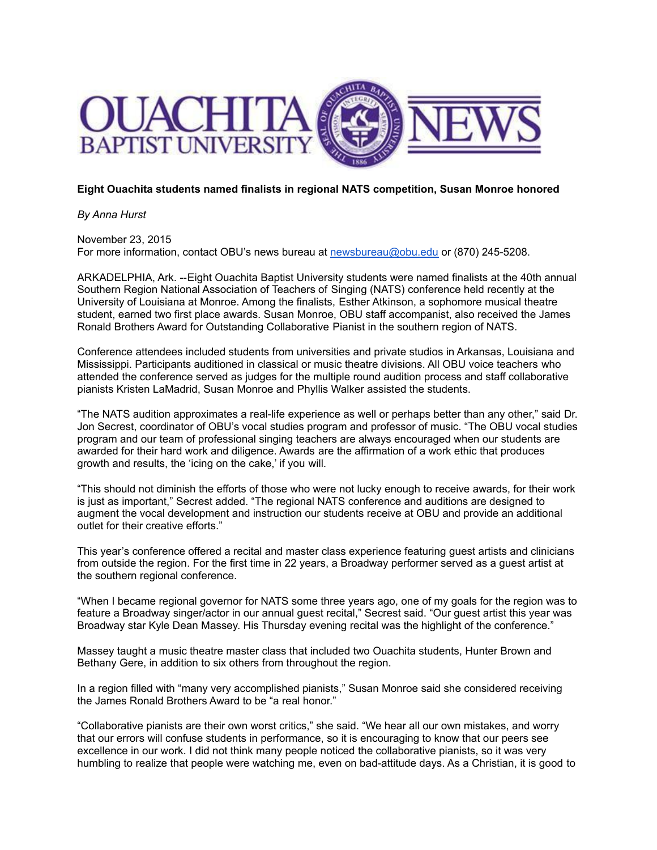

## **Eight Ouachita students named finalists in regional NATS competition, Susan Monroe honored**

*By Anna Hurst*

November 23, 2015 For more information, contact OBU's news bureau at [newsbureau@obu.edu](mailto:newsbureau@obu.edu) or (870) 245-5208.

ARKADELPHIA, Ark. --Eight Ouachita Baptist University students were named finalists at the 40th annual Southern Region National Association of Teachers of Singing (NATS) conference held recently at the University of Louisiana at Monroe. Among the finalists, Esther Atkinson, a sophomore musical theatre student, earned two first place awards. Susan Monroe, OBU staff accompanist, also received the James Ronald Brothers Award for Outstanding Collaborative Pianist in the southern region of NATS.

Conference attendees included students from universities and private studios in Arkansas, Louisiana and Mississippi. Participants auditioned in classical or music theatre divisions. All OBU voice teachers who attended the conference served as judges for the multiple round audition process and staff collaborative pianists Kristen LaMadrid, Susan Monroe and Phyllis Walker assisted the students.

"The NATS audition approximates a real-life experience as well or perhaps better than any other," said Dr. Jon Secrest, coordinator of OBU's vocal studies program and professor of music. "The OBU vocal studies program and our team of professional singing teachers are always encouraged when our students are awarded for their hard work and diligence. Awards are the affirmation of a work ethic that produces growth and results, the 'icing on the cake,' if you will.

"This should not diminish the efforts of those who were not lucky enough to receive awards, for their work is just as important," Secrest added. "The regional NATS conference and auditions are designed to augment the vocal development and instruction our students receive at OBU and provide an additional outlet for their creative efforts."

This year's conference offered a recital and master class experience featuring guest artists and clinicians from outside the region. For the first time in 22 years, a Broadway performer served as a guest artist at the southern regional conference.

"When I became regional governor for NATS some three years ago, one of my goals for the region was to feature a Broadway singer/actor in our annual guest recital," Secrest said. "Our guest artist this year was Broadway star Kyle Dean Massey. His Thursday evening recital was the highlight of the conference."

Massey taught a music theatre master class that included two Ouachita students, Hunter Brown and Bethany Gere, in addition to six others from throughout the region.

In a region filled with "many very accomplished pianists," Susan Monroe said she considered receiving the James Ronald Brothers Award to be "a real honor."

"Collaborative pianists are their own worst critics," she said. "We hear all our own mistakes, and worry that our errors will confuse students in performance, so it is encouraging to know that our peers see excellence in our work. I did not think many people noticed the collaborative pianists, so it was very humbling to realize that people were watching me, even on bad-attitude days. As a Christian, it is good to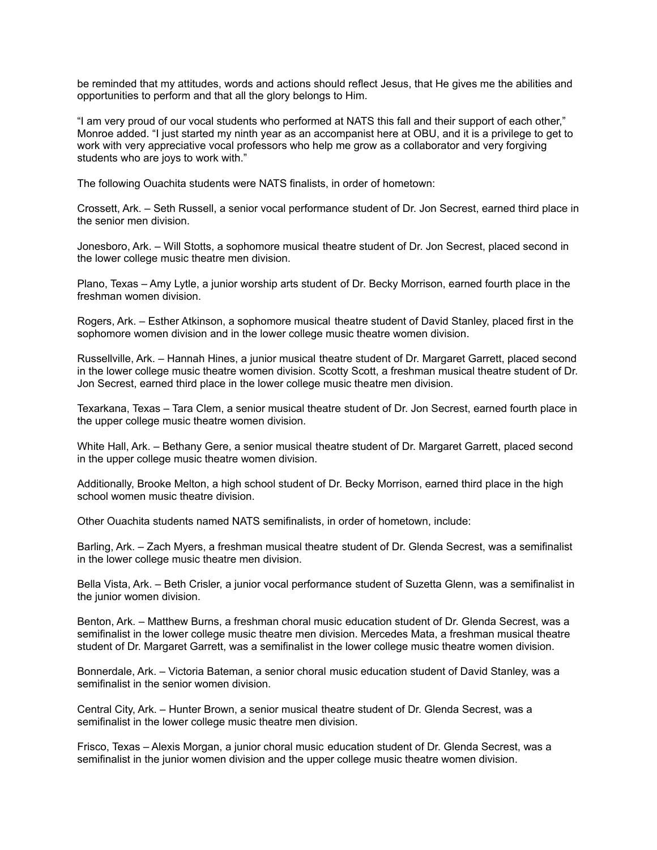be reminded that my attitudes, words and actions should reflect Jesus, that He gives me the abilities and opportunities to perform and that all the glory belongs to Him.

"I am very proud of our vocal students who performed at NATS this fall and their support of each other," Monroe added. "I just started my ninth year as an accompanist here at OBU, and it is a privilege to get to work with very appreciative vocal professors who help me grow as a collaborator and very forgiving students who are joys to work with."

The following Ouachita students were NATS finalists, in order of hometown:

Crossett, Ark. – Seth Russell, a senior vocal performance student of Dr. Jon Secrest, earned third place in the senior men division.

Jonesboro, Ark. – Will Stotts, a sophomore musical theatre student of Dr. Jon Secrest, placed second in the lower college music theatre men division.

Plano, Texas – Amy Lytle, a junior worship arts student of Dr. Becky Morrison, earned fourth place in the freshman women division.

Rogers, Ark. – Esther Atkinson, a sophomore musical theatre student of David Stanley, placed first in the sophomore women division and in the lower college music theatre women division.

Russellville, Ark. – Hannah Hines, a junior musical theatre student of Dr. Margaret Garrett, placed second in the lower college music theatre women division. Scotty Scott, a freshman musical theatre student of Dr. Jon Secrest, earned third place in the lower college music theatre men division.

Texarkana, Texas – Tara Clem, a senior musical theatre student of Dr. Jon Secrest, earned fourth place in the upper college music theatre women division.

White Hall, Ark. – Bethany Gere, a senior musical theatre student of Dr. Margaret Garrett, placed second in the upper college music theatre women division.

Additionally, Brooke Melton, a high school student of Dr. Becky Morrison, earned third place in the high school women music theatre division.

Other Ouachita students named NATS semifinalists, in order of hometown, include:

Barling, Ark. – Zach Myers, a freshman musical theatre student of Dr. Glenda Secrest, was a semifinalist in the lower college music theatre men division.

Bella Vista, Ark. – Beth Crisler, a junior vocal performance student of Suzetta Glenn, was a semifinalist in the junior women division.

Benton, Ark. – Matthew Burns, a freshman choral music education student of Dr. Glenda Secrest, was a semifinalist in the lower college music theatre men division. Mercedes Mata, a freshman musical theatre student of Dr. Margaret Garrett, was a semifinalist in the lower college music theatre women division.

Bonnerdale, Ark. – Victoria Bateman, a senior choral music education student of David Stanley, was a semifinalist in the senior women division.

Central City, Ark. – Hunter Brown, a senior musical theatre student of Dr. Glenda Secrest, was a semifinalist in the lower college music theatre men division.

Frisco, Texas – Alexis Morgan, a junior choral music education student of Dr. Glenda Secrest, was a semifinalist in the junior women division and the upper college music theatre women division.